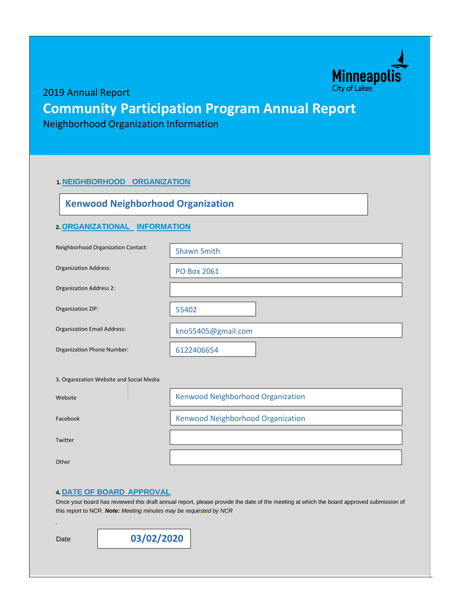

2019 Annual Report

## **Community Participation Program Annual Report**

Neighborhood Organization Information

#### **1. NEIGHBORHOOD ORGANIZATION**

## **Kenwood Neighborhood Organization**

#### **2.ORGANIZATIONAL INFORMATION**

| Neighborhood Organization Contact:       | <b>Shawn Smith</b>                |
|------------------------------------------|-----------------------------------|
| <b>Organization Address:</b>             | <b>PO Box 2061</b>                |
| <b>Organization Address 2:</b>           |                                   |
| Organization ZIP:                        | 55402                             |
| <b>Organization Email Address:</b>       | kno55405@gmail.com                |
| Organization Phone Number:               | 6122406654                        |
| 3. Organization Website and Social Media |                                   |
| Website                                  | Kenwood Neighborhood Organization |
| Facebook                                 | Kenwood Neighborhood Organization |
| Twitter                                  |                                   |

Other

#### **4. DATE OF BOARD APPROVAL**

Once your board has reviewed this draft annual report, please provide the date of the meeting at which the board approved submission of this report to NCR. *Note: Meeting minutes may be requested by NCR*

Date

*.*

**03/02/2020**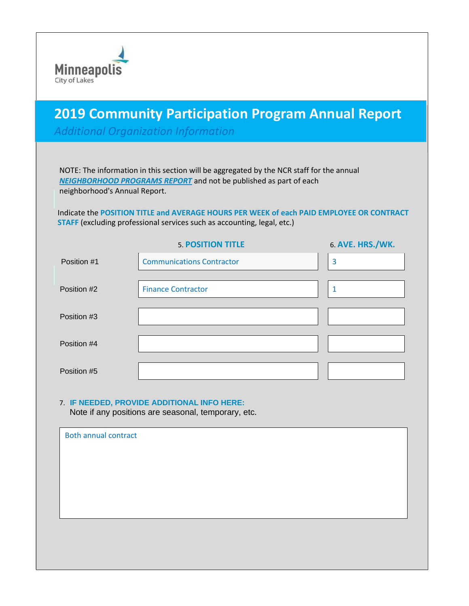

# **2019 Community 2019 Community Participation Program Annual Report**

*Additional Organization Information*

NOTE: The information in this section will be aggregated by the NCR staff for the annual *NEIGHBORHOOD PROGRAMS REPORT* and not be published as part of each neighborhood's Annual Report.

Indicate the **POSITION TITLE and AVERAGE HOURS PER WEEK of each PAID EMPLOYEE OR CONTRACT STAFF** (excluding professional services such as accounting, legal, etc.)

|             | <b>5. POSITION TITLE</b>         | <b>6. AVE. HRS./WK.</b> |
|-------------|----------------------------------|-------------------------|
| Position #1 | <b>Communications Contractor</b> | 3                       |
| Position #2 | <b>Finance Contractor</b>        |                         |
| Position #3 |                                  |                         |
| Position #4 |                                  |                         |
| Position #5 |                                  |                         |

#### 7. **IF NEEDED, PROVIDE ADDITIONAL INFO HERE:**

Note if any positions are seasonal, temporary, etc.

| <b>Both annual contract</b> |  |  |
|-----------------------------|--|--|
|                             |  |  |
|                             |  |  |
|                             |  |  |
|                             |  |  |
|                             |  |  |
|                             |  |  |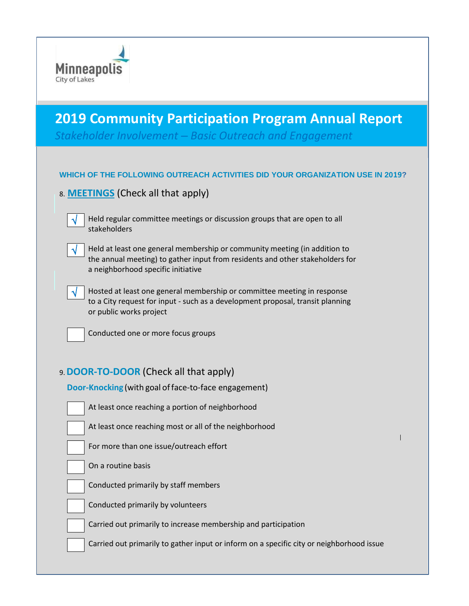

# **2019 Community Participation Program Annual Report**

*Stakeholder Involvement – Basic Outreach and Engagement*

### **WHICH OF THE FOLLOWING OUTREACH ACTIVITIES DID YOUR ORGANIZATION USE IN 2019?**

8. **MEETINGS** (Check all that apply)

Held regular committee meetings or discussion groups that are open to all stakeholders

|--|

Held at least one general membership or community meeting (in addition to the annual meeting) to gather input from residents and other stakeholders for a neighborhood specific initiative

|--|--|--|

Hosted at least one general membership or committee meeting in response to a City request for input - such as a development proposal, transit planning or public works project



Conducted one or more focus groups

## 9.**DOOR-TO-DOOR** (Check all that apply)

| Door-Knocking (with goal of face-to-face engagement)           |
|----------------------------------------------------------------|
| At least once reaching a portion of neighborhood               |
| At least once reaching most or all of the neighborhood         |
| For more than one issue/outreach effort                        |
| On a routine basis                                             |
| Conducted primarily by staff members                           |
| Conducted primarily by volunteers                              |
| Carried out primarily to increase membership and participation |

Carried out primarily to gather input or inform on a specific city or neighborhood issue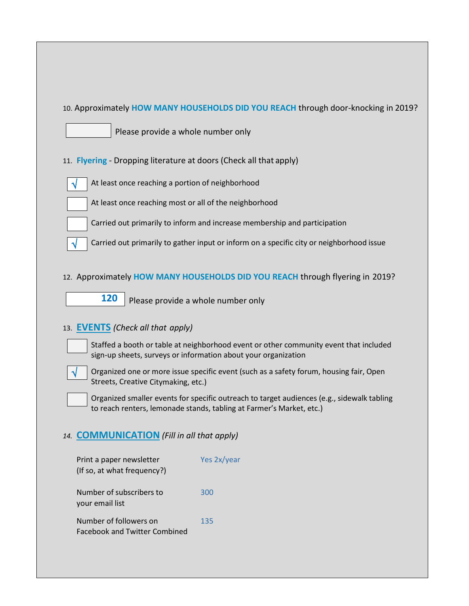#### 10. Approximately **HOW MANY HOUSEHOLDS DID YOU REACH** through door-knocking in 2019?



Please provide a whole number only

11. **Flyering** - Dropping literature at doors (Check all that apply)



At least once reaching a portion of neighborhood



Carried out primarily to inform and increase membership and participation



#### 12. Approximately **HOW MANY HOUSEHOLDS DID YOU REACH** through flyering in 2019?

**120** Please provide a whole number only

## 13. **EVENTS** *(Check all that apply)*

- Staffed a booth or table at neighborhood event or other community event that included sign-up sheets, surveys or information about your organization
- 

 Organized one or more issue specific event (such as a safety forum, housing fair, Open Streets, Creative Citymaking, etc.)

 Organized smaller events for specific outreach to target audiences (e.g., sidewalk tabling to reach renters, lemonade stands, tabling at Farmer's Market, etc.)

## *14.* **COMMUNICATION** *(Fill in all that apply)*

| Print a paper newsletter<br>(If so, at what frequency?)        | Yes 2x/year |
|----------------------------------------------------------------|-------------|
| Number of subscribers to<br>your email list                    | 300         |
| Number of followers on<br><b>Facebook and Twitter Combined</b> | 135         |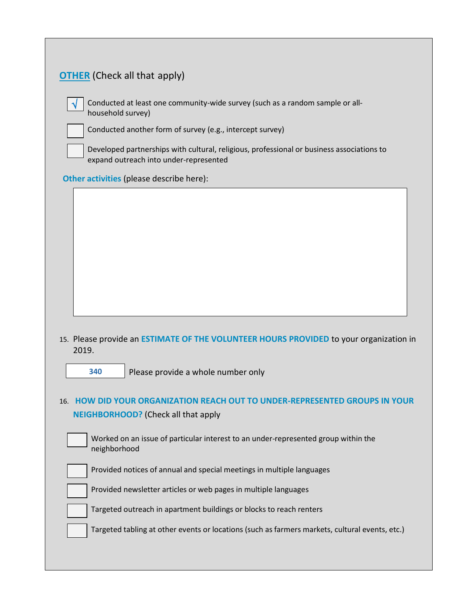| <b>OTHER</b> (Check all that apply)                                                                                                 |
|-------------------------------------------------------------------------------------------------------------------------------------|
| Conducted at least one community-wide survey (such as a random sample or all-<br>household survey)                                  |
| Conducted another form of survey (e.g., intercept survey)                                                                           |
| Developed partnerships with cultural, religious, professional or business associations to<br>expand outreach into under-represented |
| Other activities (please describe here):                                                                                            |
|                                                                                                                                     |
|                                                                                                                                     |
|                                                                                                                                     |
|                                                                                                                                     |
|                                                                                                                                     |
| 15. Please provide an ESTIMATE OF THE VOLUNTEER HOURS PROVIDED to your organization in<br>2019.                                     |
| Please provide a whole number only<br>340                                                                                           |
| 16. HOW DID YOUR ORGANIZATION REACH OUT TO UNDER-REPRESENTED GROUPS IN YOUR                                                         |
| <b>NEIGHBORHOOD?</b> (Check all that apply                                                                                          |
| Worked on an issue of particular interest to an under-represented group within the<br>neighborhood                                  |
| Provided notices of annual and special meetings in multiple languages                                                               |
| Provided newsletter articles or web pages in multiple languages                                                                     |
| Targeted outreach in apartment buildings or blocks to reach renters                                                                 |
| Targeted tabling at other events or locations (such as farmers markets, cultural events, etc.)                                      |
|                                                                                                                                     |

L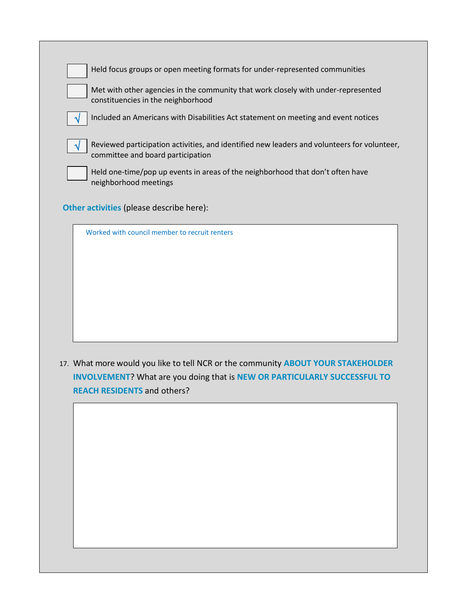| Held focus groups or open meeting formats for under-represented communities                                                      |
|----------------------------------------------------------------------------------------------------------------------------------|
| Met with other agencies in the community that work closely with under-represented<br>constituencies in the neighborhood          |
| Included an Americans with Disabilities Act statement on meeting and event notices                                               |
| Reviewed participation activities, and identified new leaders and volunteers for volunteer,<br>committee and board participation |
| Held one-time/pop up events in areas of the neighborhood that don't often have<br>neighborhood meetings                          |

**Other activities** (please describe here):

| Worked with council member to recruit renters |
|-----------------------------------------------|
|                                               |
|                                               |
|                                               |
|                                               |
|                                               |
|                                               |
|                                               |

17. What more would you like to tell NCR or the community **ABOUT YOUR STAKEHOLDER INVOLVEMENT**? What are you doing that is **NEW OR PARTICULARLY SUCCESSFUL TO REACH RESIDENTS** and others?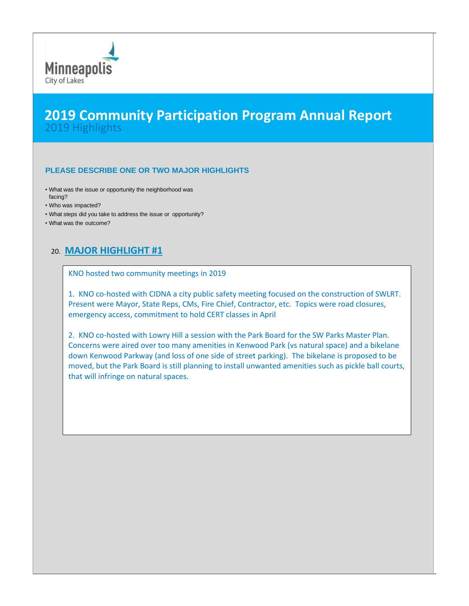

## **2019 Community Participation Program Annual Report** 2019 Highlights

#### **PLEASE DESCRIBE ONE OR TWO MAJOR HIGHLIGHTS**

- What was the issue or opportunity the neighborhood was facing?
- Who was impacted?
- What steps did you take to address the issue or opportunity?
- What was the outcome?

## 20. **MAJOR HIGHLIGHT #1**

KNO hosted two community meetings in 2019

1. KNO co-hosted with CIDNA a city public safety meeting focused on the construction of SWLRT. Present were Mayor, State Reps, CMs, Fire Chief, Contractor, etc. Topics were road closures, emergency access, commitment to hold CERT classes in April

2. KNO co-hosted with Lowry Hill a session with the Park Board for the SW Parks Master Plan. Concerns were aired over too many amenities in Kenwood Park (vs natural space) and a bikelane down Kenwood Parkway (and loss of one side of street parking). The bikelane is proposed to be moved, but the Park Board is still planning to install unwanted amenities such as pickle ball courts, that will infringe on natural spaces.